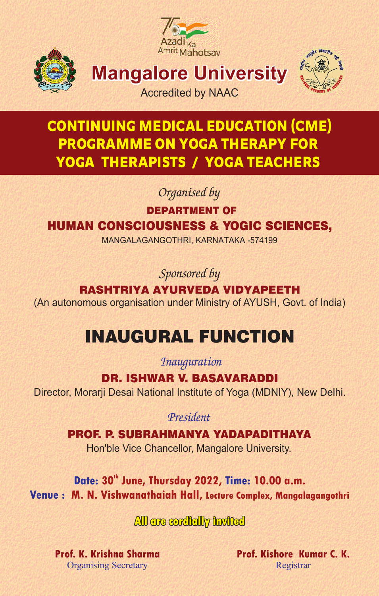



**Mangalore University**



Accredited by NAAC

## CONTINUING MEDICAL EDUCATION (CME) PROGRAMME ON YOGA THERAPY FOR YOGA THERAPISTS / YOGA TEACHERS

 *Organised by* 

DEPARTMENT OF

### HUMAN CONSCIOUSNESS & YOGIC SCIENCES,

MANGALAGANGOTHRI, KARNATAKA -574199

 *Sponsored by* 

#### RASHTRIYA AYURVEDA VIDYAPEETH

(An autonomous organisation under Ministry of AYUSH, Govt. of India)

# INAUGURAL FUNCTION

 *Inauguration* 

DR. ISHWAR V. BASAVARADDI

Director, Morarji Desai National Institute of Yoga (MDNIY), New Delhi.

 *President* 

 Hon'ble Vice Chancellor, Mangalore University. PROF. P. SUBRAHMANYA YADAPADITHAYA

Date: 30<sup>th</sup> June, Thursday 2022, Time: 10.00 a.m. **Venue : M. N. Vishwanathaiah Hall, Lecture Complex, Mangalagangothri**

 **All are cordially invited** 

**Prof. K. Krishna Sharma** Organising Secretary

**Prof. Kishore Kumar C. K.** Registrar